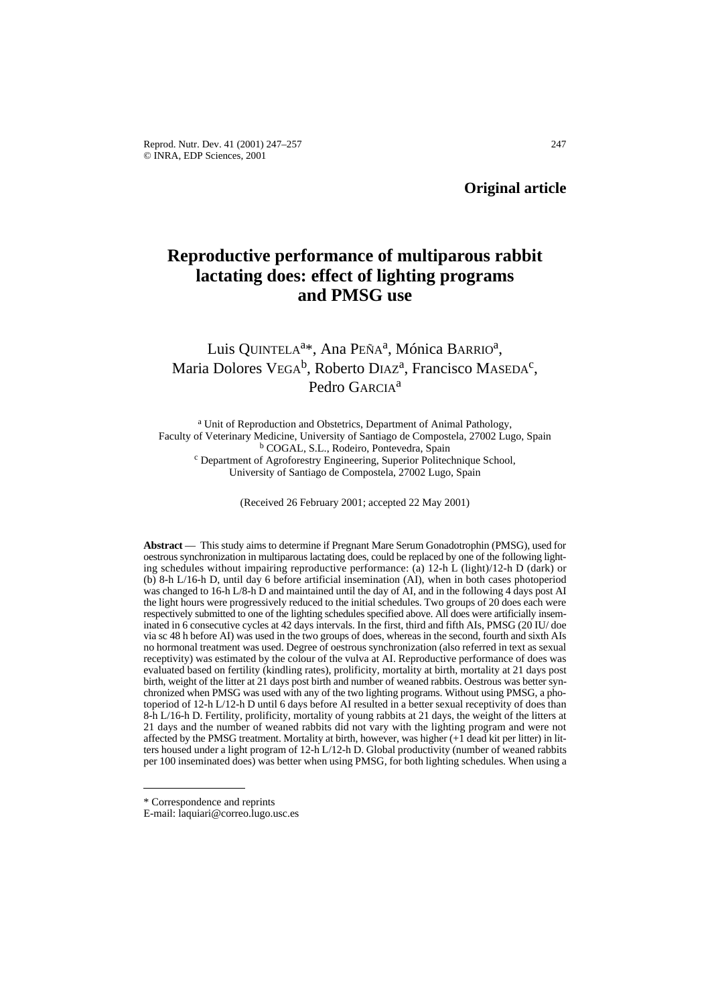Reprod. Nutr. Dev. 41 (2001) 247–257 247 © INRA, EDP Sciences, 2001

**Original article**

# **Reproductive performance of multiparous rabbit lactating does: effect of lighting programs and PMSG use**

## Luis QUINTELA<sup>a\*</sup>, Ana PEÑA<sup>a</sup>, Mónica BARRIO<sup>a</sup>, Maria Dolores VEGA<sup>b</sup>, Roberto DIAZ<sup>a</sup>, Francisco MASEDA<sup>c</sup>, Pedro GARCIA<sup>a</sup>

<sup>a</sup> Unit of Reproduction and Obstetrics, Department of Animal Pathology, Faculty of Veterinary Medicine, University of Santiago de Compostela, 27002 Lugo, Spain <sup>c</sup> Department of Agroforestry Engineering, Superior Politechnique School, University of Santiago de Compostela, 27002 Lugo, Spain

(Received 26 February 2001; accepted 22 May 2001)

**Abstract** — This study aims to determine if Pregnant Mare Serum Gonadotrophin (PMSG), used for oestrous synchronization in multiparous lactating does, could be replaced by one of the following lighting schedules without impairing reproductive performance: (a) 12-h L (light)/12-h D (dark) or (b) 8-h L/16-h D, until day 6 before artificial insemination (AI), when in both cases photoperiod was changed to 16-h L/8-h D and maintained until the day of AI, and in the following 4 days post AI the light hours were progressively reduced to the initial schedules. Two groups of 20 does each were respectively submitted to one of the lighting schedules specified above. All does were artificially inseminated in 6 consecutive cycles at 42 days intervals. In the first, third and fifth AIs, PMSG (20 IU/ doe via sc 48 h before AI) was used in the two groups of does, whereas in the second, fourth and sixth AIs no hormonal treatment was used. Degree of oestrous synchronization (also referred in text as sexual receptivity) was estimated by the colour of the vulva at AI. Reproductive performance of does was evaluated based on fertility (kindling rates), prolificity, mortality at birth, mortality at 21 days post birth, weight of the litter at 21 days post birth and number of weaned rabbits. Oestrous was better synchronized when PMSG was used with any of the two lighting programs. Without using PMSG, a photoperiod of 12-h L/12-h D until 6 days before AI resulted in a better sexual receptivity of does than 8-h L/16-h D. Fertility, prolificity, mortality of young rabbits at 21 days, the weight of the litters at 21 days and the number of weaned rabbits did not vary with the lighting program and were not affected by the PMSG treatment. Mortality at birth, however, was higher  $(+1)$  dead kit per litter) in litters housed under a light program of 12-h L/12-h D. Global productivity (number of weaned rabbits per 100 inseminated does) was better when using PMSG, for both lighting schedules. When using a

<sup>\*</sup> Correspondence and reprints

E-mail: laquiari@correo.lugo.usc.es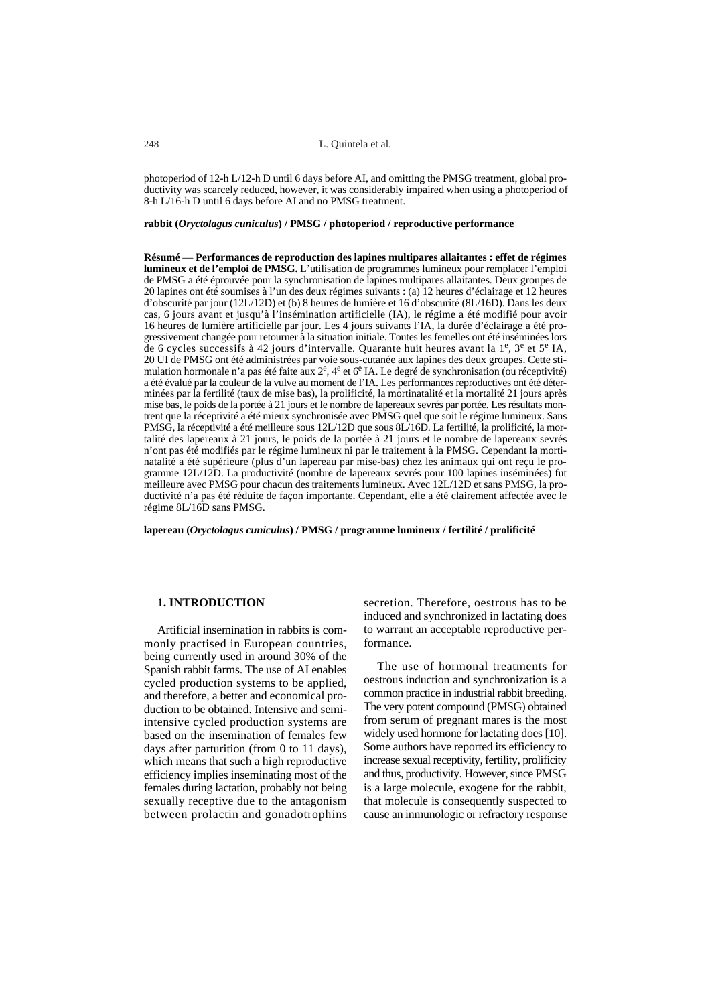photoperiod of 12-h L/12-h D until 6 days before AI, and omitting the PMSG treatment, global productivity was scarcely reduced, however, it was considerably impaired when using a photoperiod of 8-h L/16-h D until 6 days before AI and no PMSG treatment.

#### **rabbit (***Oryctolagus cuniculus***) / PMSG / photoperiod / reproductive performance**

**Résumé** — **Performances de reproduction des lapines multipares allaitantes : effet de régimes lumineux et de l'emploi de PMSG.** L'utilisation de programmes lumineux pour remplacer l'emploi de PMSG a été éprouvée pour la synchronisation de lapines multipares allaitantes. Deux groupes de 20 lapines ont été soumises à l'un des deux régimes suivants : (a) 12 heures d'éclairage et 12 heures d'obscurité par jour (12L/12D) et (b) 8 heures de lumière et 16 d'obscurité (8L/16D). Dans les deux cas, 6 jours avant et jusqu'à l'insémination artificielle (IA), le régime a été modifié pour avoir 16 heures de lumière artificielle par jour. Les 4 jours suivants l'IA, la durée d'éclairage a été progressivement changée pour retourner à la situation initiale. Toutes les femelles ont été inséminées lors de 6 cycles successifs à 42 jours d'intervalle. Quarante huit heures avant la 1<sup>e</sup>, 3<sup>e</sup> et 5<sup>e</sup> IA, 20 UI de PMSG ont été administrées par voie sous-cutanée aux lapines des deux groupes. Cette stimulation hormonale n'a pas été faite aux 2<sup>e</sup>, 4<sup>e</sup> et 6<sup>e</sup> IA. Le degré de synchronisation (ou réceptivité) a été évalué par la couleur de la vulve au moment de l'IA. Les performances reproductives ont été déterminées par la fertilité (taux de mise bas), la prolificité, la mortinatalité et la mortalité 21 jours après mise bas, le poids de la portée à 21 jours et le nombre de lapereaux sevrés par portée. Les résultats montrent que la réceptivité a été mieux synchronisée avec PMSG quel que soit le régime lumineux. Sans PMSG, la réceptivité a été meilleure sous 12L/12D que sous 8L/16D. La fertilité, la prolificité, la mortalité des lapereaux à 21 jours, le poids de la portée à 21 jours et le nombre de lapereaux sevrés n'ont pas été modifiés par le régime lumineux ni par le traitement à la PMSG. Cependant la mortinatalité a été supérieure (plus d'un lapereau par mise-bas) chez les animaux qui ont reçu le programme 12L/12D. La productivité (nombre de lapereaux sevrés pour 100 lapines inséminées) fut meilleure avec PMSG pour chacun des traitements lumineux. Avec 12L/12D et sans PMSG, la productivité n'a pas été réduite de façon importante. Cependant, elle a été clairement affectée avec le régime 8L/16D sans PMSG.

**lapereau (***Oryctolagus cuniculus***) / PMSG / programme lumineux / fertilité / prolificité**

#### **1. INTRODUCTION**

Artificial insemination in rabbits is commonly practised in European countries, being currently used in around 30% of the Spanish rabbit farms. The use of AI enables cycled production systems to be applied, and therefore, a better and economical production to be obtained. Intensive and semiintensive cycled production systems are based on the insemination of females few days after parturition (from 0 to 11 days), which means that such a high reproductive efficiency implies inseminating most of the females during lactation, probably not being sexually receptive due to the antagonism between prolactin and gonadotrophins

secretion. Therefore, oestrous has to be induced and synchronized in lactating does to warrant an acceptable reproductive performance.

The use of hormonal treatments for oestrous induction and synchronization is a common practice in industrial rabbit breeding. The very potent compound (PMSG) obtained from serum of pregnant mares is the most widely used hormone for lactating does [10]. Some authors have reported its efficiency to increase sexual receptivity, fertility, prolificity and thus, productivity. However, since PMSG is a large molecule, exogene for the rabbit, that molecule is consequently suspected to cause an inmunologic or refractory response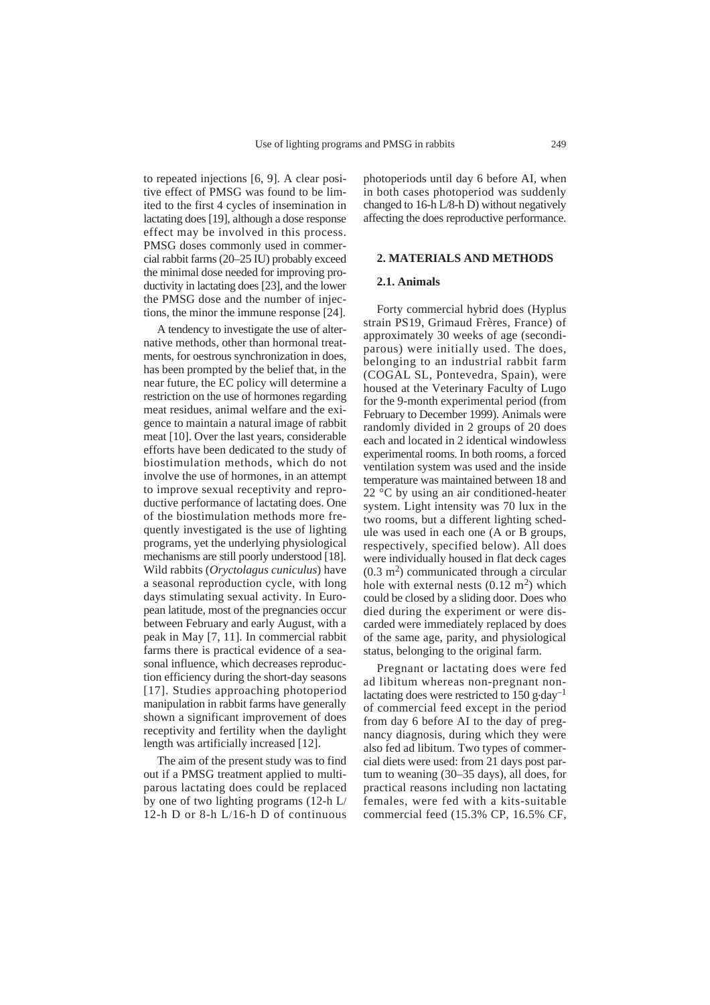to repeated injections [6, 9]. A clear positive effect of PMSG was found to be limited to the first 4 cycles of insemination in lactating does [19], although a dose response effect may be involved in this process. PMSG doses commonly used in commercial rabbit farms (20–25 IU) probably exceed the minimal dose needed for improving productivity in lactating does [23], and the lower the PMSG dose and the number of injections, the minor the immune response [24].

A tendency to investigate the use of alternative methods, other than hormonal treatments, for oestrous synchronization in does, has been prompted by the belief that, in the near future, the EC policy will determine a restriction on the use of hormones regarding meat residues, animal welfare and the exigence to maintain a natural image of rabbit meat [10]. Over the last years, considerable efforts have been dedicated to the study of biostimulation methods, which do not involve the use of hormones, in an attempt to improve sexual receptivity and reproductive performance of lactating does. One of the biostimulation methods more frequently investigated is the use of lighting programs, yet the underlying physiological mechanisms are still poorly understood [18]. Wild rabbits (*Oryctolagus cuniculus*) have a seasonal reproduction cycle, with long days stimulating sexual activity. In European latitude, most of the pregnancies occur between February and early August, with a peak in May [7, 11]. In commercial rabbit farms there is practical evidence of a seasonal influence, which decreases reproduction efficiency during the short-day seasons [17]. Studies approaching photoperiod manipulation in rabbit farms have generally shown a significant improvement of does receptivity and fertility when the daylight length was artificially increased [12].

The aim of the present study was to find out if a PMSG treatment applied to multiparous lactating does could be replaced by one of two lighting programs (12-h L/ 12-h D or 8-h L/16-h D of continuous

photoperiods until day 6 before AI, when in both cases photoperiod was suddenly changed to 16-h L/8-h D) without negatively affecting the does reproductive performance.

## **2. MATERIALS AND METHODS**

## **2.1. Animals**

Forty commercial hybrid does (Hyplus strain PS19, Grimaud Frères, France) of approximately 30 weeks of age (secondiparous) were initially used. The does, belonging to an industrial rabbit farm (COGAL SL, Pontevedra, Spain), were housed at the Veterinary Faculty of Lugo for the 9-month experimental period (from February to December 1999). Animals were randomly divided in 2 groups of 20 does each and located in 2 identical windowless experimental rooms. In both rooms, a forced ventilation system was used and the inside temperature was maintained between 18 and  $22^{\circ}$ C by using an air conditioned-heater system. Light intensity was 70 lux in the two rooms, but a different lighting schedule was used in each one (A or B groups, respectively, specified below). All does were individually housed in flat deck cages  $(0.3 \text{ m}^2)$  communicated through a circular hole with external nests  $(0.12 \text{ m}^2)$  which could be closed by a sliding door. Does who died during the experiment or were discarded were immediately replaced by does of the same age, parity, and physiological status, belonging to the original farm.

Pregnant or lactating does were fed ad libitum whereas non-pregnant nonlactating does were restricted to  $150$  g $\cdot$ day<sup>-1</sup> of commercial feed except in the period from day 6 before AI to the day of pregnancy diagnosis, during which they were also fed ad libitum. Two types of commercial diets were used: from 21 days post partum to weaning (30–35 days), all does, for practical reasons including non lactating females, were fed with a kits-suitable commercial feed (15.3% CP, 16.5% CF,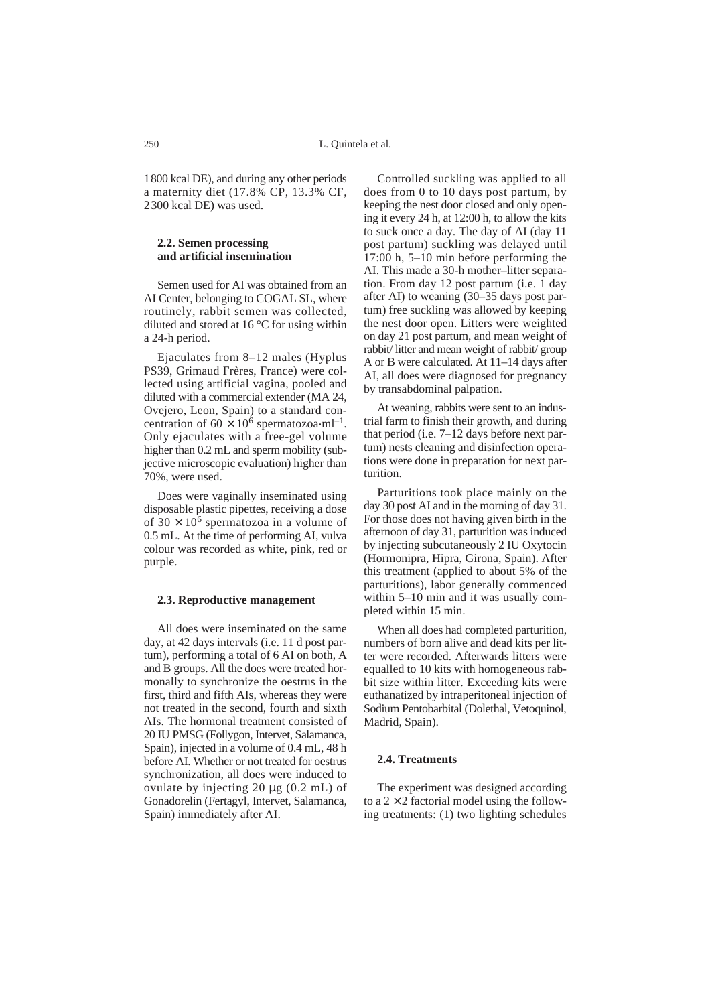1800 kcal DE), and during any other periods a maternity diet (17.8% CP, 13.3% CF, 2300 kcal DE) was used.

#### **2.2. Semen processing and artificial insemination**

Semen used for AI was obtained from an AI Center, belonging to COGAL SL, where routinely, rabbit semen was collected, diluted and stored at 16 °C for using within a 24-h period.

Ejaculates from 8–12 males (Hyplus PS39, Grimaud Frères, France) were collected using artificial vagina, pooled and diluted with a commercial extender (MA 24, Ovejero, Leon, Spain) to a standard concentration of  $60 \times 10^6$  spermatozoa·ml<sup>-1</sup>. Only ejaculates with a free-gel volume higher than 0.2 mL and sperm mobility (subjective microscopic evaluation) higher than 70%, were used.

Does were vaginally inseminated using disposable plastic pipettes, receiving a dose of  $30 \times 10^6$  spermatozoa in a volume of 0.5 mL. At the time of performing AI, vulva colour was recorded as white, pink, red or purple.

#### **2.3. Reproductive management**

All does were inseminated on the same day, at 42 days intervals (i.e. 11 d post partum), performing a total of 6 AI on both, A and B groups. All the does were treated hormonally to synchronize the oestrus in the first, third and fifth AIs, whereas they were not treated in the second, fourth and sixth AIs. The hormonal treatment consisted of 20 IU PMSG (Follygon, Intervet, Salamanca, Spain), injected in a volume of 0.4 mL, 48 h before AI. Whether or not treated for oestrus synchronization, all does were induced to ovulate by injecting 20  $\mu$ g (0.2 mL) of Gonadorelin (Fertagyl, Intervet, Salamanca, Spain) immediately after AI.

Controlled suckling was applied to all does from 0 to 10 days post partum, by keeping the nest door closed and only opening it every 24 h, at 12:00 h, to allow the kits to suck once a day. The day of AI (day 11 post partum) suckling was delayed until 17:00 h, 5–10 min before performing the AI. This made a 30-h mother–litter separation. From day 12 post partum (i.e. 1 day after AI) to weaning (30–35 days post partum) free suckling was allowed by keeping the nest door open. Litters were weighted on day 21 post partum, and mean weight of rabbit/ litter and mean weight of rabbit/ group A or B were calculated. At 11–14 days after AI, all does were diagnosed for pregnancy by transabdominal palpation.

At weaning, rabbits were sent to an industrial farm to finish their growth, and during that period (i.e. 7–12 days before next partum) nests cleaning and disinfection operations were done in preparation for next parturition.

Parturitions took place mainly on the day 30 post AI and in the morning of day 31. For those does not having given birth in the afternoon of day 31, parturition was induced by injecting subcutaneously 2 IU Oxytocin (Hormonipra, Hipra, Girona, Spain). After this treatment (applied to about 5% of the parturitions), labor generally commenced within 5–10 min and it was usually completed within 15 min.

When all does had completed parturition, numbers of born alive and dead kits per litter were recorded. Afterwards litters were equalled to 10 kits with homogeneous rabbit size within litter. Exceeding kits were euthanatized by intraperitoneal injection of Sodium Pentobarbital (Dolethal, Vetoquinol, Madrid, Spain).

#### **2.4. Treatments**

The experiment was designed according to a  $2 \times 2$  factorial model using the following treatments: (1) two lighting schedules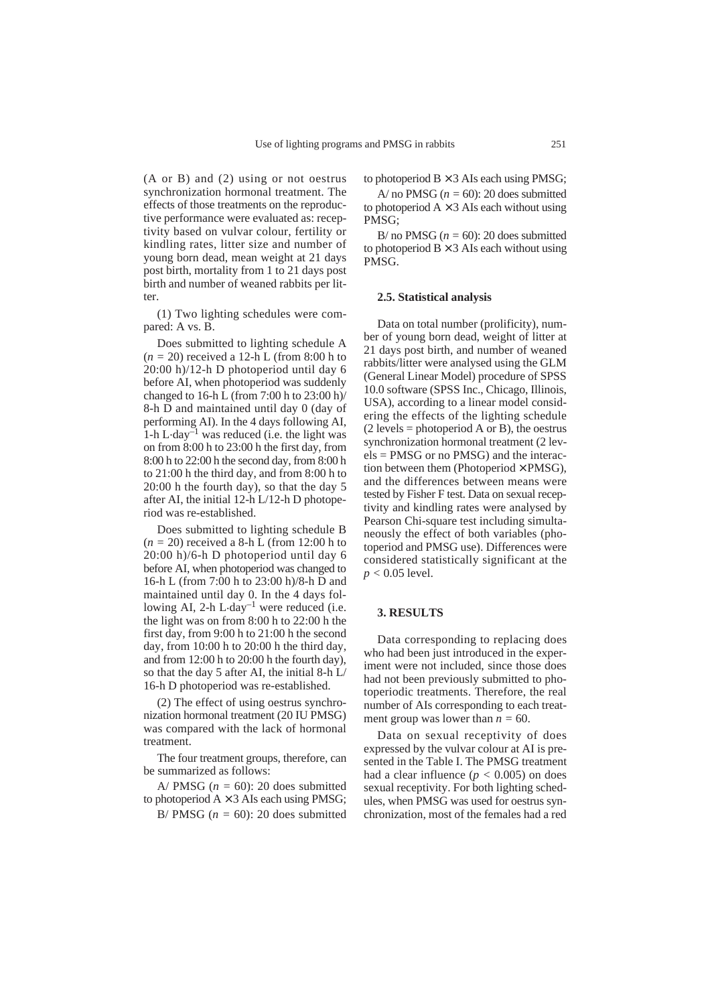(A or B) and (2) using or not oestrus synchronization hormonal treatment. The effects of those treatments on the reproductive performance were evaluated as: receptivity based on vulvar colour, fertility or kindling rates, litter size and number of young born dead, mean weight at 21 days post birth, mortality from 1 to 21 days post birth and number of weaned rabbits per litter.

(1) Two lighting schedules were compared: A vs. B.

Does submitted to lighting schedule A (*n =* 20) received a 12-h L (from 8:00 h to 20:00 h)/12-h D photoperiod until day 6 before AI, when photoperiod was suddenly changed to 16-h L (from 7:00 h to 23:00 h)/ 8-h D and maintained until day 0 (day of performing AI). In the 4 days following AI, 1-h L $\cdot$ day<sup>-1</sup> was reduced (i.e. the light was on from 8:00 h to 23:00 h the first day, from 8:00 h to 22:00 h the second day, from 8:00 h to 21:00 h the third day, and from 8:00 h to 20:00 h the fourth day), so that the day 5 after AI, the initial 12-h L/12-h D photoperiod was re-established.

Does submitted to lighting schedule B  $(n = 20)$  received a 8-h  $\overline{L}$  (from 12:00 h to 20:00 h)/6-h D photoperiod until day 6 before AI, when photoperiod was changed to 16-h L (from 7:00 h to 23:00 h)/8-h D and maintained until day 0. In the 4 days following AI, 2-h  $L \cdot day^{-1}$  were reduced (i.e. the light was on from 8:00 h to 22:00 h the first day, from 9:00 h to 21:00 h the second day, from 10:00 h to 20:00 h the third day, and from 12:00 h to 20:00 h the fourth day), so that the day 5 after AI, the initial 8-h L/ 16-h D photoperiod was re-established.

(2) The effect of using oestrus synchronization hormonal treatment (20 IU PMSG) was compared with the lack of hormonal treatment.

The four treatment groups, therefore, can be summarized as follows:

A/ PMSG  $(n = 60)$ : 20 does submitted to photoperiod  $A \times 3$  AIs each using PMSG;

B/ PMSG  $(n = 60)$ : 20 does submitted

to photoperiod  $B \times 3$  AIs each using PMSG;

A/ no PMSG ( $n = 60$ ): 20 does submitted to photoperiod  $A \times 3$  AIs each without using PMSG;

B/ no PMSG  $(n = 60)$ : 20 does submitted to photoperiod  $B \times 3$  AIs each without using PMSG.

#### **2.5. Statistical analysis**

Data on total number (prolificity), number of young born dead, weight of litter at 21 days post birth, and number of weaned rabbits/litter were analysed using the GLM (General Linear Model) procedure of SPSS 10.0 software (SPSS Inc., Chicago, Illinois, USA), according to a linear model considering the effects of the lighting schedule  $(2 \text{ levels} = \text{photoperiod A or B)}$ , the oestrus synchronization hormonal treatment (2 levels = PMSG or no PMSG) and the interaction between them (Photoperiod  $\times$  PMSG), and the differences between means were tested by Fisher F test. Data on sexual receptivity and kindling rates were analysed by Pearson Chi-square test including simultaneously the effect of both variables (photoperiod and PMSG use). Differences were considered statistically significant at the  $p < 0.05$  level.

#### **3. RESULTS**

Data corresponding to replacing does who had been just introduced in the experiment were not included, since those does had not been previously submitted to photoperiodic treatments. Therefore, the real number of AIs corresponding to each treatment group was lower than  $n = 60$ .

Data on sexual receptivity of does expressed by the vulvar colour at AI is presented in the Table I. The PMSG treatment had a clear influence  $(p < 0.005)$  on does sexual receptivity. For both lighting schedules, when PMSG was used for oestrus synchronization, most of the females had a red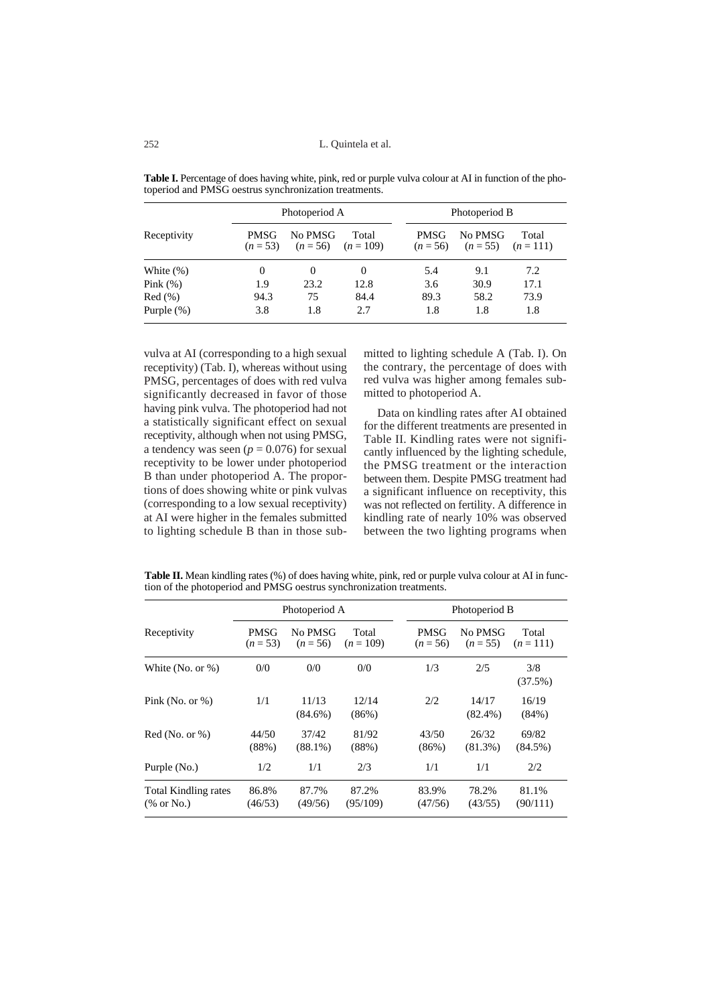| Receptivity   |                         | Photoperiod A |                             | Photoperiod B             |                       |                    |  |
|---------------|-------------------------|---------------|-----------------------------|---------------------------|-----------------------|--------------------|--|
|               | <b>PMSG</b><br>$(n=53)$ | No PMSG       | Total<br>$(n=56)$ $(n=109)$ | <b>PMSG</b><br>$(n = 56)$ | No PMSG<br>$(n = 55)$ | Total<br>$(n=111)$ |  |
| White $(\%)$  | $\Omega$                | $\theta$      | $\theta$                    | 5.4                       | 9.1                   | 7.2                |  |
| Pink $(\%)$   | 1.9                     | 23.2          | 12.8                        | 3.6                       | 30.9                  | 17.1               |  |
| Red (%)       | 94.3                    | 75            | 84.4                        | 89.3                      | 58.2                  | 73.9               |  |
| Purple $(\%)$ | 3.8                     | 1.8           | 2.7                         | 1.8                       | 1.8                   | 1.8                |  |

**Table I.** Percentage of does having white, pink, red or purple vulva colour at AI in function of the photoperiod and PMSG oestrus synchronization treatments.

vulva at AI (corresponding to a high sexual receptivity) (Tab. I), whereas without using PMSG, percentages of does with red vulva significantly decreased in favor of those having pink vulva. The photoperiod had not a statistically significant effect on sexual receptivity, although when not using PMSG, a tendency was seen  $(p = 0.076)$  for sexual receptivity to be lower under photoperiod B than under photoperiod A. The proportions of does showing white or pink vulvas (corresponding to a low sexual receptivity) at AI were higher in the females submitted to lighting schedule B than in those sub-

mitted to lighting schedule A (Tab. I). On the contrary, the percentage of does with red vulva was higher among females submitted to photoperiod A.

Data on kindling rates after AI obtained for the different treatments are presented in Table II. Kindling rates were not significantly influenced by the lighting schedule, the PMSG treatment or the interaction between them. Despite PMSG treatment had a significant influence on receptivity, this was not reflected on fertility. A difference in kindling rate of nearly 10% was observed between the two lighting programs when

Table II. Mean kindling rates (%) of does having white, pink, red or purple vulva colour at AI in function of the photoperiod and PMSG oestrus synchronization treatments.

| Receptivity                                | Photoperiod A           |                       |                    |  | Photoperiod B             |                       |                     |  |
|--------------------------------------------|-------------------------|-----------------------|--------------------|--|---------------------------|-----------------------|---------------------|--|
|                                            | <b>PMSG</b><br>$(n=53)$ | No PMSG<br>$(n = 56)$ | Total<br>$(n=109)$ |  | <b>PMSG</b><br>$(n = 56)$ | No PMSG<br>$(n = 55)$ | Total<br>$(n=111)$  |  |
| White $(No. or %)$                         | 0/0                     | 0/0                   | 0/0                |  | 1/3                       | 2/5                   | 3/8<br>(37.5%)      |  |
| Pink (No. or $\%$ )                        | 1/1                     | 11/13<br>$(84.6\%)$   | 12/14<br>(86%)     |  | 2/2                       | 14/17<br>$(82.4\%)$   | 16/19<br>(84%)      |  |
| $Red(No. or \%)$                           | 44/50<br>(88%)          | 37/42<br>$(88.1\%)$   | 81/92<br>(88%)     |  | 43/50<br>$(86\%)$         | 26/32<br>$(81.3\%)$   | 69/82<br>$(84.5\%)$ |  |
| Purple (No.)                               | 1/2                     | 1/1                   | 2/3                |  | 1/1                       | 1/1                   | 2/2                 |  |
| <b>Total Kindling rates</b><br>$%$ or No.) | 86.8%<br>(46/53)        | 87.7%<br>(49/56)      | 87.2%<br>(95/109)  |  | 83.9%<br>(47/56)          | 78.2%<br>(43/55)      | 81.1%<br>(90/111)   |  |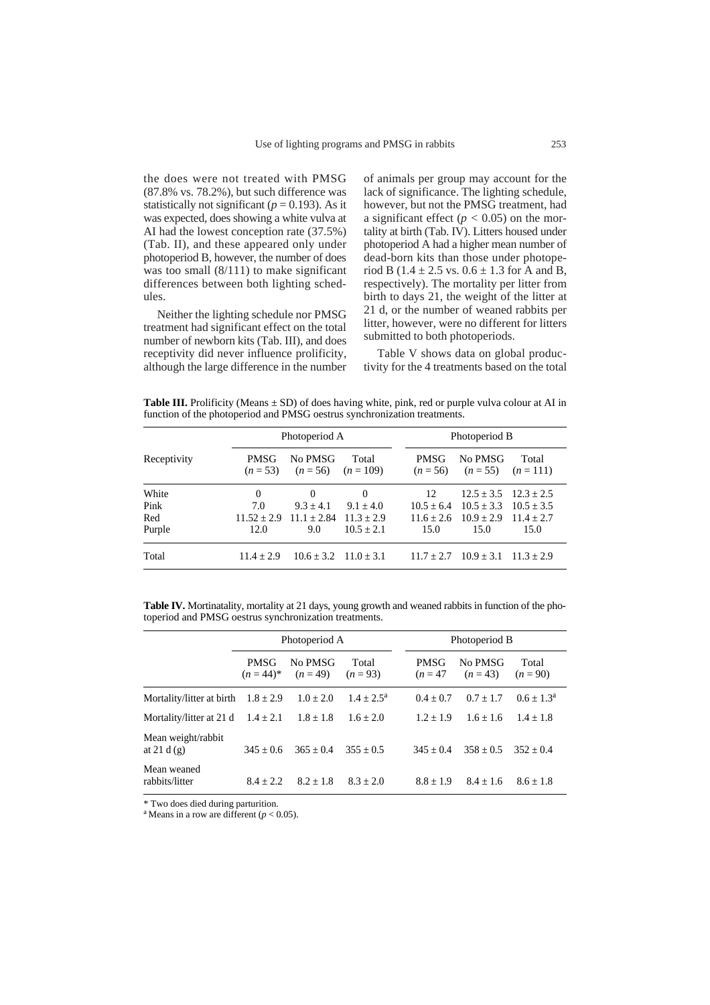the does were not treated with PMSG (87.8% vs. 78.2%), but such difference was statistically not significant ( $p = 0.193$ ). As it was expected, does showing a white vulva at AI had the lowest conception rate (37.5%) (Tab. II), and these appeared only under photoperiod B, however, the number of does was too small  $(8/111)$  to make significant differences between both lighting schedules.

Neither the lighting schedule nor PMSG treatment had significant effect on the total number of newborn kits (Tab. III), and does receptivity did never influence prolificity, although the large difference in the number

of animals per group may account for the lack of significance. The lighting schedule, however, but not the PMSG treatment, had a significant effect  $(p < 0.05)$  on the mortality at birth (Tab. IV). Litters housed under photoperiod A had a higher mean number of dead-born kits than those under photoperiod B (1.4  $\pm$  2.5 vs. 0.6  $\pm$  1.3 for A and B, respectively). The mortality per litter from birth to days 21, the weight of the litter at 21 d, or the number of weaned rabbits per litter, however, were no different for litters submitted to both photoperiods.

Table V shows data on global productivity for the 4 treatments based on the total

**Table III.** Prolificity (Means  $\pm$  SD) of does having white, pink, red or purple vulva colour at AI in function of the photoperiod and PMSG oestrus synchronization treatments.

|             |                         | Photoperiod A                 |                           |  |                         | Photoperiod B |                             |  |  |
|-------------|-------------------------|-------------------------------|---------------------------|--|-------------------------|---------------|-----------------------------|--|--|
| Receptivity | <b>PMSG</b><br>$(n=53)$ | No PMSG<br>$(n=56)$ $(n=109)$ | Total                     |  | <b>PMSG</b><br>$(n=56)$ | No PMSG       | Total<br>$(n=55)$ $(n=111)$ |  |  |
| White       | $\Omega$                | $\theta$                      | 0                         |  | 12.                     | $12.5 + 3.5$  | $12.3 + 2.5$                |  |  |
| Pink        | 7.0                     | $9.3 + 4.1$                   | $9.1 + 4.0$               |  | $10.5 + 6.4$            | $10.5 + 3.3$  | $10.5 + 3.5$                |  |  |
| Red         | $11.52 + 2.9$           | $11.1 + 2.84$                 | $11.3 + 2.9$              |  | $11.6 + 2.6$            | $10.9 + 2.9$  | $11.4 + 2.7$                |  |  |
| Purple      | 12.0                    | 9.0                           | $10.5 + 2.1$              |  | 15.0                    | 15.0          | 15.0                        |  |  |
| Total       | $11.4 + 2.9$            |                               | $10.6 + 3.2$ $11.0 + 3.1$ |  | $11.7 + 2.7$            | $10.9 + 3.1$  | $11.3 + 2.9$                |  |  |

**Table IV.** Mortinatality, mortality at 21 days, young growth and weaned rabbits in function of the photoperiod and PMSG oestrus synchronization treatments.

|                                                      | Photoperiod A |                                  |                        | Photoperiod B           |                     |                     |  |
|------------------------------------------------------|---------------|----------------------------------|------------------------|-------------------------|---------------------|---------------------|--|
|                                                      | <b>PMSG</b>   | No PMSG<br>$(n=44)^{*}$ $(n=49)$ | Total<br>$(n=93)$      | <b>PMSG</b><br>$(n=47)$ | No PMSG<br>$(n=43)$ | Total<br>$(n = 90)$ |  |
| Mortality/litter at birth $1.8 \pm 2.9$              |               | $1.0 \pm 2.0$                    | $1.4 + 2.5^{\text{a}}$ | $0.4 + 0.7$             | $0.7 + 1.7$         | $0.6 + 1.3^a$       |  |
| Mortality/litter at 21 d $1.4 \pm 2.1$ $1.8 \pm 1.8$ |               |                                  | $1.6 \pm 2.0$          | $1.2 + 1.9$             | $1.6 + 1.6$         | $1.4 + 1.8$         |  |
| Mean weight/rabbit<br>at 21 d $(g)$                  | $345 + 0.6$   | $365 + 0.4$                      | $355 + 0.5$            | $345 + 0.4$             | $358 + 0.5$         | $352 + 0.4$         |  |
| Mean weaned<br>rabbits/litter                        | $8.4 + 2.2$   | $8.2 + 1.8$                      | $8.3 + 2.0$            | $8.8 + 1.9$             | $8.4 + 1.6$         | $8.6 + 1.8$         |  |

\* Two does died during parturition.

<sup>a</sup> Means in a row are different ( $p < 0.05$ ).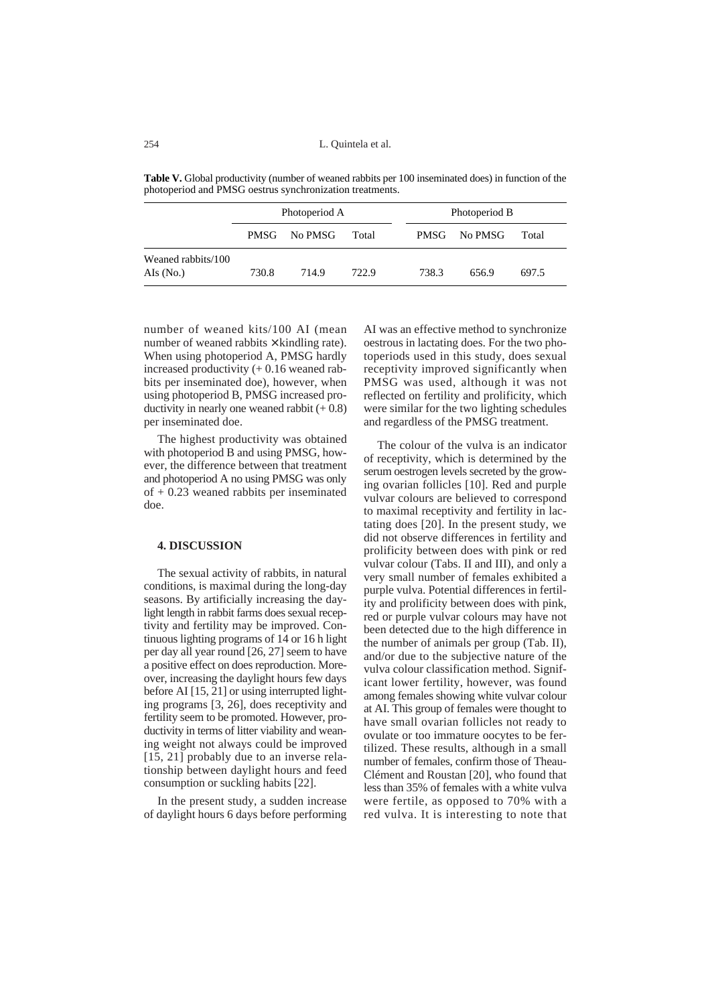**Table V.** Global productivity (number of weaned rabbits per 100 inseminated does) in function of the photoperiod and PMSG oestrus synchronization treatments.

|                                  | Photoperiod A |         |       | Photoperiod B |              |       |  |
|----------------------------------|---------------|---------|-------|---------------|--------------|-------|--|
|                                  | PMSG          | No PMSG | Total |               | PMSG No PMSG | Total |  |
| Weaned rabbits/100<br>AIs $(N0)$ | 730.8         | 714.9   | 722.9 | 738.3         | 656.9        | 697.5 |  |

number of weaned kits/100 AI (mean number of weaned rabbits  $\times$  kindling rate). When using photoperiod A, PMSG hardly increased productivity (+ 0.16 weaned rabbits per inseminated doe), however, when using photoperiod B, PMSG increased productivity in nearly one weaned rabbit  $(+ 0.8)$ per inseminated doe.

The highest productivity was obtained with photoperiod B and using PMSG, however, the difference between that treatment and photoperiod A no using PMSG was only of + 0.23 weaned rabbits per inseminated doe.

#### **4. DISCUSSION**

The sexual activity of rabbits, in natural conditions, is maximal during the long-day seasons. By artificially increasing the daylight length in rabbit farms does sexual receptivity and fertility may be improved. Continuous lighting programs of 14 or 16 h light per day all year round [26, 27] seem to have a positive effect on does reproduction. Moreover, increasing the daylight hours few days before AI [15, 21] or using interrupted lighting programs [3, 26], does receptivity and fertility seem to be promoted. However, productivity in terms of litter viability and weaning weight not always could be improved [15, 21] probably due to an inverse relationship between daylight hours and feed consumption or suckling habits [22].

In the present study, a sudden increase of daylight hours 6 days before performing AI was an effective method to synchronize oestrous in lactating does. For the two photoperiods used in this study, does sexual receptivity improved significantly when PMSG was used, although it was not reflected on fertility and prolificity, which were similar for the two lighting schedules and regardless of the PMSG treatment.

The colour of the vulva is an indicator of receptivity, which is determined by the serum oestrogen levels secreted by the growing ovarian follicles [10]. Red and purple vulvar colours are believed to correspond to maximal receptivity and fertility in lactating does [20]. In the present study, we did not observe differences in fertility and prolificity between does with pink or red vulvar colour (Tabs. II and III), and only a very small number of females exhibited a purple vulva. Potential differences in fertility and prolificity between does with pink, red or purple vulvar colours may have not been detected due to the high difference in the number of animals per group (Tab. II), and/or due to the subjective nature of the vulva colour classification method. Significant lower fertility, however, was found among females showing white vulvar colour at AI. This group of females were thought to have small ovarian follicles not ready to ovulate or too immature oocytes to be fertilized. These results, although in a small number of females, confirm those of Theau-Clément and Roustan [20], who found that less than 35% of females with a white vulva were fertile, as opposed to 70% with a red vulva. It is interesting to note that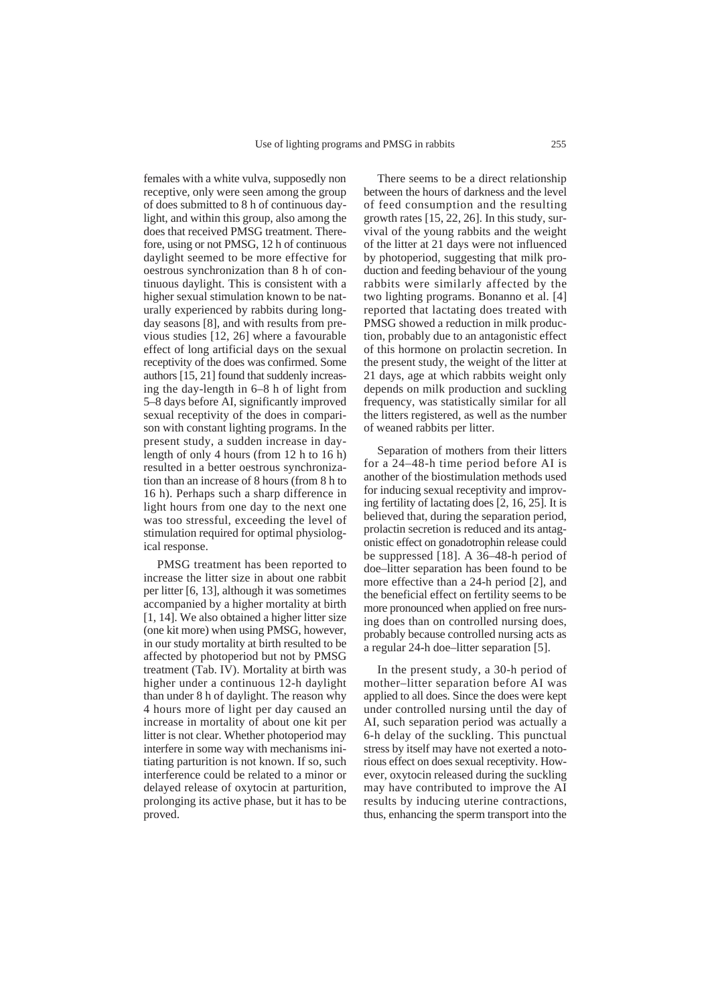females with a white vulva, supposedly non receptive, only were seen among the group of does submitted to 8 h of continuous daylight, and within this group, also among the does that received PMSG treatment. Therefore, using or not PMSG, 12 h of continuous daylight seemed to be more effective for oestrous synchronization than 8 h of continuous daylight. This is consistent with a higher sexual stimulation known to be naturally experienced by rabbits during longday seasons [8], and with results from previous studies [12, 26] where a favourable effect of long artificial days on the sexual receptivity of the does was confirmed. Some authors [15, 21] found that suddenly increasing the day-length in 6–8 h of light from 5–8 days before AI, significantly improved sexual receptivity of the does in comparison with constant lighting programs. In the present study, a sudden increase in daylength of only 4 hours (from 12 h to 16 h) resulted in a better oestrous synchronization than an increase of 8 hours (from 8 h to 16 h). Perhaps such a sharp difference in light hours from one day to the next one was too stressful, exceeding the level of stimulation required for optimal physiological response.

PMSG treatment has been reported to increase the litter size in about one rabbit per litter [6, 13], although it was sometimes accompanied by a higher mortality at birth [1, 14]. We also obtained a higher litter size (one kit more) when using PMSG, however, in our study mortality at birth resulted to be affected by photoperiod but not by PMSG treatment (Tab. IV). Mortality at birth was higher under a continuous 12-h daylight than under 8 h of daylight. The reason why 4 hours more of light per day caused an increase in mortality of about one kit per litter is not clear. Whether photoperiod may interfere in some way with mechanisms initiating parturition is not known. If so, such interference could be related to a minor or delayed release of oxytocin at parturition, prolonging its active phase, but it has to be proved.

There seems to be a direct relationship between the hours of darkness and the level of feed consumption and the resulting growth rates  $[15, 22, 26]$ . In this study, survival of the young rabbits and the weight of the litter at 21 days were not influenced by photoperiod, suggesting that milk production and feeding behaviour of the young rabbits were similarly affected by the two lighting programs. Bonanno et al. [4] reported that lactating does treated with PMSG showed a reduction in milk production, probably due to an antagonistic effect of this hormone on prolactin secretion. In the present study, the weight of the litter at 21 days, age at which rabbits weight only depends on milk production and suckling frequency, was statistically similar for all the litters registered, as well as the number of weaned rabbits per litter.

Separation of mothers from their litters for a 24–48-h time period before AI is another of the biostimulation methods used for inducing sexual receptivity and improving fertility of lactating does [2, 16, 25]. It is believed that, during the separation period, prolactin secretion is reduced and its antagonistic effect on gonadotrophin release could be suppressed [18]. A 36–48-h period of doe–litter separation has been found to be more effective than a 24-h period [2], and the beneficial effect on fertility seems to be more pronounced when applied on free nursing does than on controlled nursing does, probably because controlled nursing acts as a regular 24-h doe–litter separation [5].

In the present study, a 30-h period of mother–litter separation before AI was applied to all does. Since the does were kept under controlled nursing until the day of AI, such separation period was actually a 6-h delay of the suckling. This punctual stress by itself may have not exerted a notorious effect on does sexual receptivity. However, oxytocin released during the suckling may have contributed to improve the AI results by inducing uterine contractions, thus, enhancing the sperm transport into the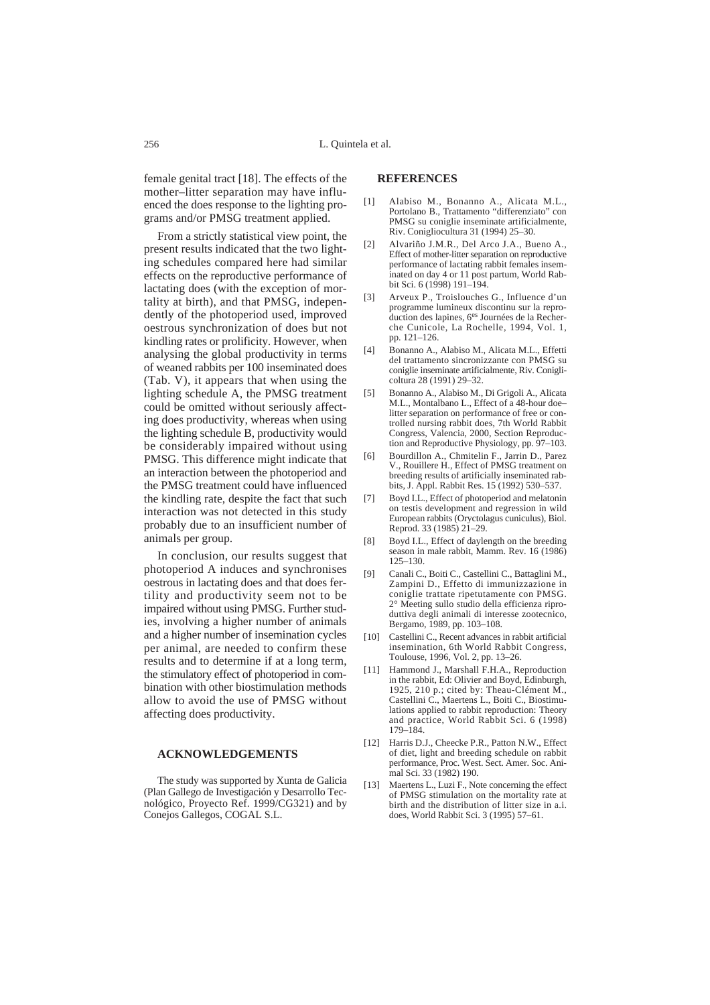female genital tract [18]. The effects of the mother–litter separation may have influenced the does response to the lighting programs and/or PMSG treatment applied.

From a strictly statistical view point, the present results indicated that the two lighting schedules compared here had similar effects on the reproductive performance of lactating does (with the exception of mortality at birth), and that PMSG, independently of the photoperiod used, improved oestrous synchronization of does but not kindling rates or prolificity. However, when analysing the global productivity in terms of weaned rabbits per 100 inseminated does (Tab. V), it appears that when using the lighting schedule A, the PMSG treatment could be omitted without seriously affecting does productivity, whereas when using the lighting schedule B, productivity would be considerably impaired without using PMSG. This difference might indicate that an interaction between the photoperiod and the PMSG treatment could have influenced the kindling rate, despite the fact that such interaction was not detected in this study probably due to an insufficient number of animals per group.

In conclusion, our results suggest that photoperiod A induces and synchronises oestrous in lactating does and that does fertility and productivity seem not to be impaired without using PMSG. Further studies, involving a higher number of animals and a higher number of insemination cycles per animal, are needed to confirm these results and to determine if at a long term, the stimulatory effect of photoperiod in combination with other biostimulation methods allow to avoid the use of PMSG without affecting does productivity.

## **ACKNOWLEDGEMENTS**

The study was supported by Xunta de Galicia (Plan Gallego de Investigación y Desarrollo Tecnológico, Proyecto Ref. 1999/CG321) and by Conejos Gallegos, COGAL S.L.

### **REFERENCES**

- [1] Alabiso M., Bonanno A., Alicata M.L., Portolano B., Trattamento "differenziato" con PMSG su coniglie inseminate artificialmente, Riv. Conigliocultura 31 (1994) 25–30.
- [2] Alvariño J.M.R., Del Arco J.A., Bueno A., Effect of mother-litter separation on reproductive performance of lactating rabbit females inseminated on day 4 or 11 post partum, World Rabbit Sci. 6 (1998) 191–194.
- [3] Arveux P., Troislouches G., Influence d'un programme lumineux discontinu sur la reproduction des lapines, 6<sup>es</sup> Journées de la Recherche Cunicole, La Rochelle, 1994, Vol. 1, pp. 121–126.
- [4] Bonanno A., Alabiso M., Alicata M.L., Effetti del trattamento sincronizzante con PMSG su coniglie inseminate artificialmente, Riv. Coniglicoltura 28 (1991) 29–32.
- [5] Bonanno A., Alabiso M., Di Grigoli A., Alicata M.L., Montalbano L., Effect of a 48-hour doe– litter separation on performance of free or controlled nursing rabbit does, 7th World Rabbit Congress, Valencia, 2000, Section Reproduction and Reproductive Physiology, pp. 97–103.
- [6] Bourdillon A., Chmitelin F., Jarrin D., Parez V., Rouillere H., Effect of PMSG treatment on breeding results of artificially inseminated rabbits, J. Appl. Rabbit Res. 15 (1992) 530–537.
- Boyd I.L., Effect of photoperiod and melatonin on testis development and regression in wild European rabbits (Oryctolagus cuniculus), Biol. Reprod. 33 (1985) 21-29.
- [8] Boyd I.L., Effect of daylength on the breeding season in male rabbit, Mamm. Rev. 16 (1986) 125–130.
- [9] Canali C., Boiti C., Castellini C., Battaglini M., Zampini D., Effetto di immunizzazione in coniglie trattate ripetutamente con PMSG. 2° Meeting sullo studio della efficienza riproduttiva degli animali di interesse zootecnico, Bergamo, 1989, pp. 103–108.
- [10] Castellini C., Recent advances in rabbit artificial insemination, 6th World Rabbit Congress, Toulouse, 1996, Vol. 2, pp. 13–26.
- [11] Hammond J., Marshall F.H.A., Reproduction in the rabbit, Ed: Olivier and Boyd, Edinburgh, 1925, 210 p.; cited by: Theau-Clément M., Castellini C., Maertens L., Boiti C., Biostimulations applied to rabbit reproduction: Theory and practice, World Rabbit Sci. 6 (1998) 179–184.
- [12] Harris D.J., Cheecke P.R., Patton N.W., Effect of diet, light and breeding schedule on rabbit performance, Proc. West. Sect. Amer. Soc. Animal Sci. 33 (1982) 190.
- [13] Maertens L., Luzi F., Note concerning the effect of PMSG stimulation on the mortality rate at birth and the distribution of litter size in a.i. does, World Rabbit Sci. 3 (1995) 57–61.